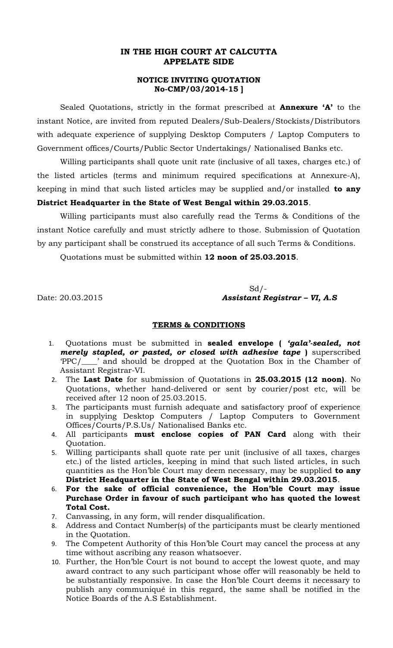## **IN THE HIGH COURT AT CALCUTTA APPELATE SIDE**

## **NOTICE INVITING QUOTATION No-CMP/03/2014-15 ]**

Sealed Quotations, strictly in the format prescribed at **Annexure 'A'** to the instant Notice, are invited from reputed Dealers/Sub-Dealers/Stockists/Distributors with adequate experience of supplying Desktop Computers / Laptop Computers to Government offices/Courts/Public Sector Undertakings/ Nationalised Banks etc.

Willing participants shall quote unit rate (inclusive of all taxes, charges etc.) of the listed articles (terms and minimum required specifications at Annexure-A), keeping in mind that such listed articles may be supplied and/or installed **to any District Headquarter in the State of West Bengal within 29.03.2015**.

Willing participants must also carefully read the Terms & Conditions of the instant Notice carefully and must strictly adhere to those. Submission of Quotation by any participant shall be construed its acceptance of all such Terms & Conditions.

Quotations must be submitted within **12 noon of 25.03.2015**.

 $Sd$  /-Date: 20.03.2015 *Assistant Registrar – VI, A.S*

## **TERMS & CONDITIONS**

- 1. Quotations must be submitted in **sealed envelope (** *'gala'-sealed, not merely stapled, or pasted, or closed with adhesive tape* **)** superscribed 'PPC/\_\_\_\_' and should be dropped at the Quotation Box in the Chamber of Assistant Registrar-VI.
- 2. The **Last Date** for submission of Quotations in **25.03.2015 (12 noon)**. No Quotations, whether hand-delivered or sent by courier/post etc, will be received after 12 noon of 25.03.2015.
- 3. The participants must furnish adequate and satisfactory proof of experience in supplying Desktop Computers / Laptop Computers to Government Offices/Courts/P.S.Us/ Nationalised Banks etc.
- 4. All participants **must enclose copies of PAN Card** along with their Quotation.
- 5. Willing participants shall quote rate per unit (inclusive of all taxes, charges etc.) of the listed articles, keeping in mind that such listed articles, in such quantities as the Hon'ble Court may deem necessary, may be supplied **to any District Headquarter in the State of West Bengal within 29.03.2015**.
- 6. **For the sake of official convenience, the Hon'ble Court may issue Purchase Order in favour of such participant who has quoted the lowest Total Cost.**
- 7. Canvassing, in any form, will render disqualification.
- 8. Address and Contact Number(s) of the participants must be clearly mentioned in the Quotation.
- 9. The Competent Authority of this Hon'ble Court may cancel the process at any time without ascribing any reason whatsoever.
- 10. Further, the Hon'ble Court is not bound to accept the lowest quote, and may award contract to any such participant whose offer will reasonably be held to be substantially responsive. In case the Hon'ble Court deems it necessary to publish any communiqué in this regard, the same shall be notified in the Notice Boards of the A.S Establishment.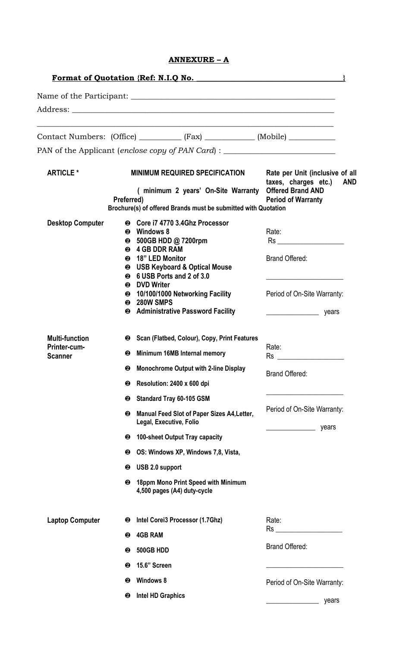| <b>ANNEXURE</b> |  |
|-----------------|--|
|                 |  |

|                                |                                                                                                                    | <b>Format of Quotation {Ref: N.I.Q No.</b>                                                             |                                                                                      |  |
|--------------------------------|--------------------------------------------------------------------------------------------------------------------|--------------------------------------------------------------------------------------------------------|--------------------------------------------------------------------------------------|--|
|                                |                                                                                                                    |                                                                                                        |                                                                                      |  |
|                                |                                                                                                                    |                                                                                                        |                                                                                      |  |
|                                |                                                                                                                    | Contact Numbers: (Office) ___________ (Fax) ____________ (Mobile) _____________                        |                                                                                      |  |
|                                |                                                                                                                    | PAN of the Applicant (enclose copy of PAN Card) : ______________________________                       |                                                                                      |  |
| <b>ARTICLE *</b>               |                                                                                                                    | <b>MINIMUM REQUIRED SPECIFICATION</b>                                                                  | Rate per Unit (inclusive of all<br>taxes, charges etc.)<br><b>AND</b>                |  |
|                                | (minimum 2 years' On-Site Warranty<br>Preferred)<br>Brochure(s) of offered Brands must be submitted with Quotation |                                                                                                        | <b>Offered Brand AND</b><br><b>Period of Warranty</b>                                |  |
| <b>Desktop Computer</b>        |                                                                                                                    | 2 Core i7 4770 3.4Ghz Processor                                                                        |                                                                                      |  |
|                                |                                                                                                                    | <sup>2</sup> Windows 8<br><b>❷</b> 500GB HDD @ 7200rpm                                                 | Rate:                                                                                |  |
|                                | ❷<br>❷                                                                                                             | <b>❷ 4 GB DDR RAM</b><br>18" LED Monitor<br>2 USB Keyboard & Optical Mouse<br>6 USB Ports and 2 of 3.0 | <b>Brand Offered:</b>                                                                |  |
|                                | ❷                                                                                                                  | <b>DVD Writer</b><br><sup>●</sup> 10/100/1000 Networking Facility<br><b>@ 280W SMPS</b>                | Period of On-Site Warranty:                                                          |  |
|                                |                                                                                                                    | <sup>2</sup> Administrative Password Facility                                                          | $\frac{1}{2}$ years                                                                  |  |
| <b>Multi-function</b>          |                                                                                                                    | Scan (Flatbed, Colour), Copy, Print Features                                                           |                                                                                      |  |
| Printer-cum-<br><b>Scanner</b> | ❷                                                                                                                  | Minimum 16MB Internal memory                                                                           | Rate:<br>Rs                                                                          |  |
|                                | ❷                                                                                                                  | <b>Monochrome Output with 2-line Display</b>                                                           | <b>Brand Offered:</b>                                                                |  |
|                                | ❷                                                                                                                  | Resolution: 2400 x 600 dpi                                                                             |                                                                                      |  |
|                                | ❷                                                                                                                  | <b>Standard Tray 60-105 GSM</b>                                                                        | <u> 1989 - Johann John Stone, market francuski filozof (</u>                         |  |
|                                | ❷                                                                                                                  | Manual Feed Slot of Paper Sizes A4, Letter,<br>Legal, Executive, Folio                                 | Period of On-Site Warranty:<br>years<br>the control of the control of the control of |  |
|                                | ❷                                                                                                                  | 100-sheet Output Tray capacity                                                                         |                                                                                      |  |
|                                | ❷                                                                                                                  | OS: Windows XP, Windows 7,8, Vista,                                                                    |                                                                                      |  |
|                                | ❷                                                                                                                  | USB 2.0 support                                                                                        |                                                                                      |  |
|                                | ❷                                                                                                                  | 18ppm Mono Print Speed with Minimum<br>4,500 pages (A4) duty-cycle                                     |                                                                                      |  |
| <b>Laptop Computer</b>         | ❷                                                                                                                  | Intel Corei3 Processor (1.7Ghz)                                                                        | Rate:                                                                                |  |
|                                | ❷                                                                                                                  | <b>4GB RAM</b>                                                                                         | $\mathsf{Rs}$ . The set of $\mathsf{Rs}$ is the set of $\mathsf{Rs}$ .               |  |
|                                | ❷                                                                                                                  | 500GB HDD                                                                                              | <b>Brand Offered:</b>                                                                |  |
|                                | ❷                                                                                                                  | 15.6" Screen                                                                                           |                                                                                      |  |
|                                | ❷                                                                                                                  | <b>Windows 8</b>                                                                                       | Period of On-Site Warranty:                                                          |  |
|                                | ❷                                                                                                                  | <b>Intel HD Graphics</b>                                                                               | years                                                                                |  |
|                                |                                                                                                                    |                                                                                                        |                                                                                      |  |